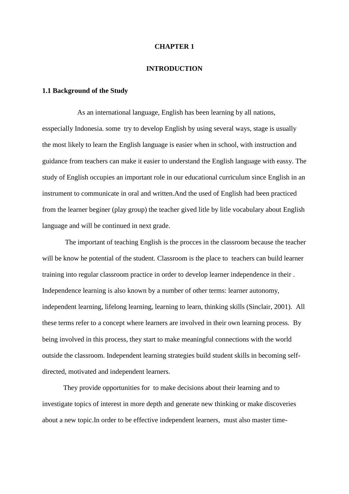#### **CHAPTER 1**

#### **INTRODUCTION**

#### **1.1 Background of the Study**

 As an international language, English has been learning by all nations, esspecially Indonesia. some try to develop English by using several ways, stage is usually the most likely to learn the English language is easier when in school, with instruction and guidance from teachers can make it easier to understand the English language with eassy. The study of English occupies an important role in our educational curriculum since English in an instrument to communicate in oral and written.And the used of English had been practiced from the learner beginer (play group) the teacher gived litle by litle vocabulary about English language and will be continued in next grade.

The important of teaching English is the procces in the classroom because the teacher will be know he potential of the student. Classroom is the place to teachers can build learner training into regular classroom practice in order to develop learner independence in their . Independence learning is also known by a number of other terms: learner autonomy, independent learning, lifelong learning, learning to learn, thinking skills (Sinclair, 2001). All these terms refer to a concept where learners are involved in their own learning process. By being involved in this process, they start to make meaningful connections with the world outside the classroom. Independent learning strategies build student skills in becoming selfdirected, motivated and independent learners.

They provide opportunities for to make decisions about their learning and to investigate topics of interest in more depth and generate new thinking or make discoveries about a new topic.In order to be effective independent learners, must also master time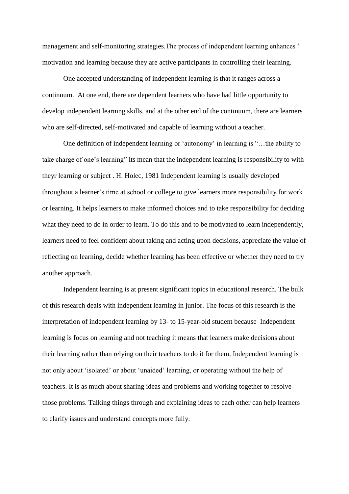management and self-monitoring strategies.The process of independent learning enhances ' motivation and learning because they are active participants in controlling their learning.

One accepted understanding of independent learning is that it ranges across a continuum. At one end, there are dependent learners who have had little opportunity to develop independent learning skills, and at the other end of the continuum, there are learners who are self-directed, self-motivated and capable of learning without a teacher.

One definition of independent learning or 'autonomy' in learning is "…the ability to take charge of one's learning" its mean that the independent learning is responsibility to with theyr learning or subject . H. Holec, 1981 Independent learning is usually developed throughout a learner's time at school or college to give learners more responsibility for work or learning. It helps learners to make informed choices and to take responsibility for deciding what they need to do in order to learn. To do this and to be motivated to learn independently, learners need to feel confident about taking and acting upon decisions, appreciate the value of reflecting on learning, decide whether learning has been effective or whether they need to try another approach.

Independent learning is at present significant topics in educational research. The bulk of this research deals with independent learning in junior. The focus of this research is the interpretation of independent learning by 13- to 15-year-old student because Independent learning is focus on learning and not teaching it means that learners make decisions about their learning rather than relying on their teachers to do it for them. Independent learning is not only about 'isolated' or about 'unaided' learning, or operating without the help of teachers. It is as much about sharing ideas and problems and working together to resolve those problems. Talking things through and explaining ideas to each other can help learners to clarify issues and understand concepts more fully.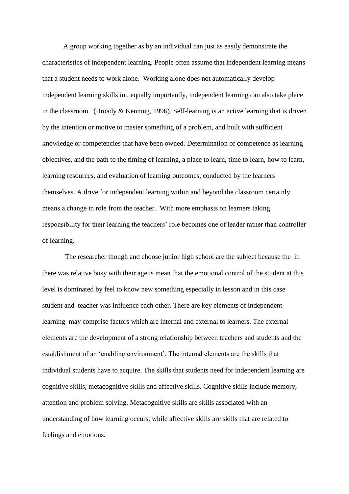A group working together as by an individual can just as easily demonstrate the characteristics of independent learning. People often assume that independent learning means that a student needs to work alone. Working alone does not automatically develop independent learning skills in , equally importantly, independent learning can also take place in the classroom. (Broady & Kenning, 1996). Self-learning is an active learning that is driven by the intention or motive to master something of a problem, and built with sufficient knowledge or competencies that have been owned. Determination of competence as learning objectives, and the path to the timing of learning, a place to learn, time to learn, how to learn, learning resources, and evaluation of learning outcomes, conducted by the learners themselves. A drive for independent learning within and beyond the classroom certainly means a change in role from the teacher. With more emphasis on learners taking responsibility for their learning the teachers' role becomes one of leader rather than controller of learning.

The researcher though and choose junior high school are the subject because the in there was relative busy with their age is mean that the emotional control of the student at this level is dominated by feel to know new something especially in lesson and in this case student and teacher was influence each other. There are key elements of independent learning may comprise factors which are internal and external to learners. The external elements are the development of a strong relationship between teachers and students and the establishment of an 'enabling environment'. The internal elements are the skills that individual students have to acquire. The skills that students need for independent learning are cognitive skills, metacognitive skills and affective skills. Cognitive skills include memory, attention and problem solving. Metacognitive skills are skills associated with an understanding of how learning occurs, while affective skills are skills that are related to feelings and emotions.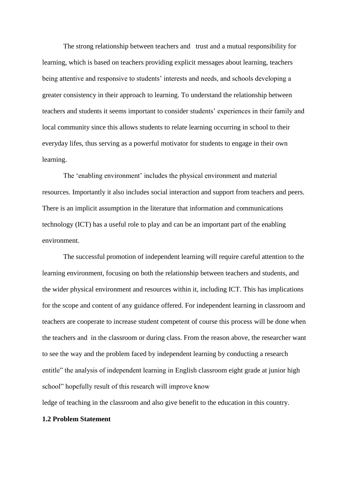The strong relationship between teachers and trust and a mutual responsibility for learning, which is based on teachers providing explicit messages about learning, teachers being attentive and responsive to students' interests and needs, and schools developing a greater consistency in their approach to learning. To understand the relationship between teachers and students it seems important to consider students' experiences in their family and local community since this allows students to relate learning occurring in school to their everyday lifes, thus serving as a powerful motivator for students to engage in their own learning.

The 'enabling environment' includes the physical environment and material resources. Importantly it also includes social interaction and support from teachers and peers. There is an implicit assumption in the literature that information and communications technology (ICT) has a useful role to play and can be an important part of the enabling environment.

The successful promotion of independent learning will require careful attention to the learning environment, focusing on both the relationship between teachers and students, and the wider physical environment and resources within it, including ICT. This has implications for the scope and content of any guidance offered. For independent learning in classroom and teachers are cooperate to increase student competent of course this process will be done when the teachers and in the classroom or during class. From the reason above, the researcher want to see the way and the problem faced by independent learning by conducting a research entitle" the analysis of independent learning in English classroom eight grade at junior high school" hopefully result of this research will improve know

ledge of teaching in the classroom and also give benefit to the education in this country.

#### **1.2 Problem Statement**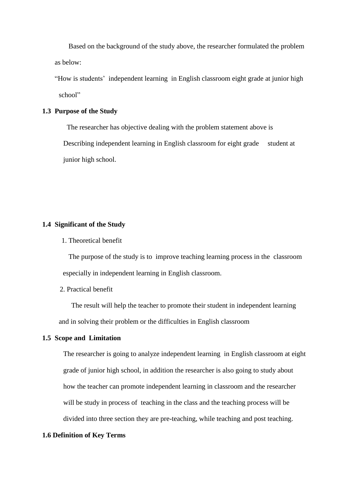Based on the background of the study above, the researcher formulated the problem as below:

"How is students' independent learning in English classroom eight grade at junior high school"

# **1.3 Purpose of the Study**

 The researcher has objective dealing with the problem statement above is Describing independent learning in English classroom for eight grade student at junior high school.

# **1.4 Significant of the Study**

### 1. Theoretical benefit

 The purpose of the study is to improve teaching learning process in the classroom especially in independent learning in English classroom.

# 2. Practical benefit

The result will help the teacher to promote their student in independent learning and in solving their problem or the difficulties in English classroom

### **1.5 Scope and Limitation**

The researcher is going to analyze independent learning in English classroom at eight grade of junior high school, in addition the researcher is also going to study about how the teacher can promote independent learning in classroom and the researcher will be study in process of teaching in the class and the teaching process will be divided into three section they are pre-teaching, while teaching and post teaching.

# **1.6 Definition of Key Terms**